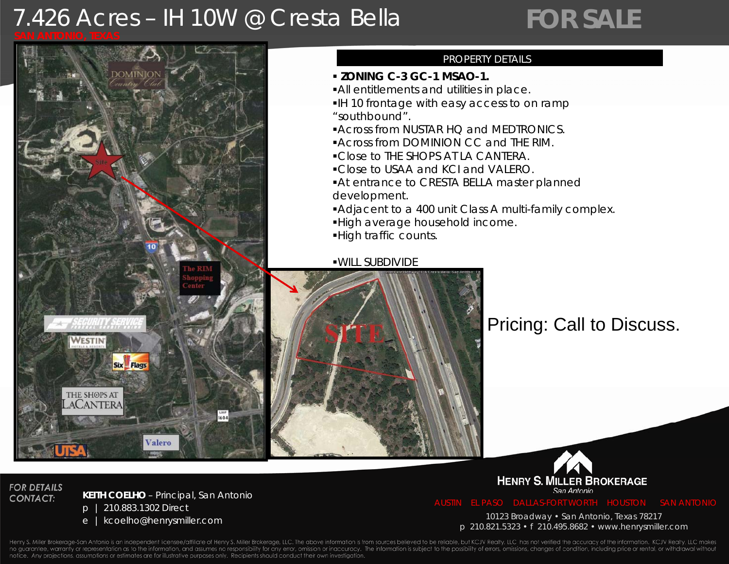# 7.426 Acres – IH 10W @ Cresta Bella

# *FOR SALE*



## PROPERTY DETAILS

- **ZONING C-3 GC-1 MSAO-1.**
- All entitlements and utilities in place.
- IH 10 frontage with easy access to on ramp "southbound".
- **Across from NUSTAR HQ and MEDTRONICS.**
- Across from DOMINION CC and THE RIM.
- Close to THE SHOPS AT LA CANTERA.
- Close to USAA and KCI and VALERO.
- At entrance to CRESTA BELLA master planned development.
- Adjacent to a 400 unit Class A multi-family complex.
- High average household income.
- High traffic counts.

WILL SUBDIVIDE



## Pricing: Call to Discuss.



### **FOR DETAILS CONTACT:**

### **KEITH COELHO** – *Pi i l S A t i Principal, San Antonio*

- p | 210.883.1302 Direct
- 

<sup>e</sup> | kcoelho@henrysmiller.com 10123 Broadway • San Antonio, Texas 78217 p 210.821.5323 • f 210.495.8682 • www.henrysmiller.com

Henry S. Miller Brokerage-San Antonio is an independent licensee/affiliate of Henry S. Miller Brokerage, LLC. The above information is from sources believed to be reliable, but KCJV Realty, LLC has not verified the accurac no guarantee, warranty or representation as to the information, and assumes no responsibility for any error, omission or inaccuracy. The information is subject to the possibility of errors, omissions, changes of condition, notice. Any projections, assumptions or estimates are for illustrative purposes only. Recipients should conduct their own investigation.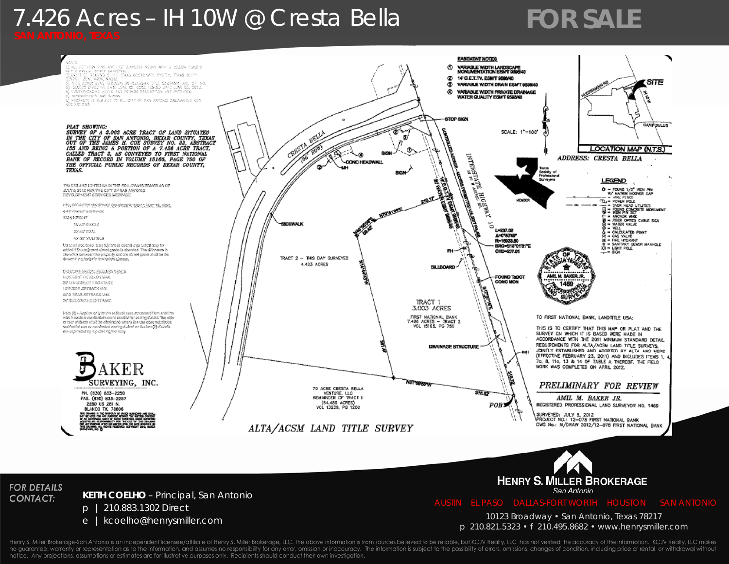# 7.426 Acres – IH 10W @ Cresta Bella

# *FOR SALE*





Henry S. Miller Brokerage-San Antonio is an independent licensee/affiliate of Henry S. Miller Brokerage, LLC. The above information is from sources believed to be reliable, but KCJV Realty, LLC has not verified the accurac no guarantee, warranty or representation as to the information, and assumes no responsibility for any error, omission or inaccuracy. The information is subject to the possibility of errors, omissions, changes of condition, notice. Any projections, assumptions or estimates are for illustrative purposes only. Recipients should conduct their own investigation.